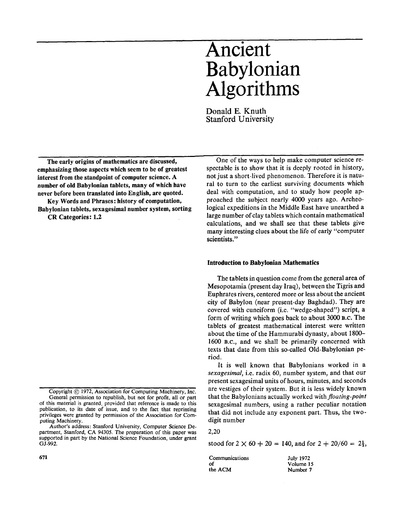# **Ancient Babylonian Algorithms**

**Donald E. Knuth Stanford University** 

**The early origins of mathematics are discussed, emphasizing those aspects which seem to be of greatest interest from the standpoint of computer science. A number of old Babylonian tablets, many of which have never before been translated into English, are quoted.** 

**Key Words and Phrases: history of computation, Babylonian tablets, sexagesimal number system, sorting** 

**CR Categories: 1.2** 

One of the ways to help make computer science respectable is to show that it is deeply rooted in history, not just a short-lived phenomenon. Therefore it is natural to turn to the earliest surviving documents which deal with computation, and to study how people approached the subject nearly 4000 years ago. Archeological expeditions in the Middle East have unearthed a large number of clay tablets which contain mathematical calculations, and we shall see that these tablets give many interesting clues about the life of early "computer scientists."

#### **Introduction to Babylonian Mathematics**

The tablets in question come from the general area of Mesopotamia (present day Iraq), between the Tigris and Euphrates rivers, centered more or less about the ancient city of Babylon (near present-day Baghdad). They **are**  covered with cuneiform (i.e. "wedge-shaped") script, a form of writing which goes back to about 3000 B.C. The tablets of greatest mathematical interest were written about the time of the Hammurabi dynasty, about 1800- 1600 B.c., and we shall be primarily concerned with texts that date from this so-called Old-Babylonian period.

It is well known that Babylonians worked in a *sexagesirnal,* i.e. radix 60, number system, and that our present sexagesimal units of hours, minutes, and seconds are vestiges of their system. But it is less widely known that the Babylonians actually worked *withfloating-point*  sexagesimal numbers, using a rather peculiar notation that did not include any exponent part. Thus, the twodigit number

2,20

stood for  $2 \times 60 + 20 = 140$ , and for  $2 + 20/60 = 2\frac{1}{3}$ ,

| Communications | <b>July 1972</b> |  |
|----------------|------------------|--|
| Ωf             | Volume 15        |  |
| the ACM        | Number 7         |  |

671

Copyright @ 1972, Association for Computing Machinery, Inc. General permission to republish, but not for profit, all or part of this material is granted, provided that reference is made to this publication, to its date of issue, and to the fact that reprinting privileges were granted by permission of the Association for Computing Machinery.

Author's address: Stanford University, Computer Science Department, Stanford, CA 94305. The preparation of this paper was supported in part by the National Science Foundation, under **grant**  GJ-992.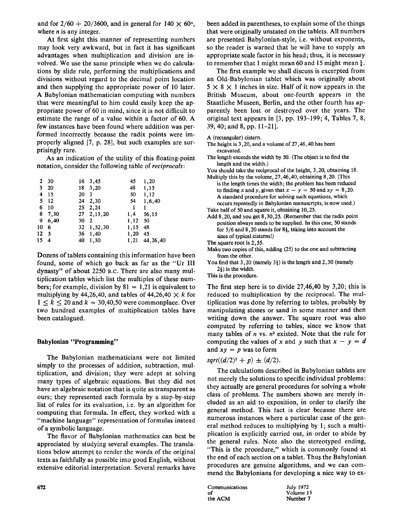and for  $2/60 + 20/3600$ , and in general for  $140 \times 60^{n}$ , where  $n$  is any integer.

At first sight this manner of representing numbers may look very awkward, but in fact it has significant advantages when multiplication and division are involved. We use the same principle when we do calculations by slide rule, performing the multiplications and divisions without regard to the decimal point location and then supplying the appropriate power of 10 later. A Babylonian mathematician computing with numbers that were meaningful to him could easily keep the appropriate power of 60 in mind, since it is not difficult to estimate the range of a value within a factor of 60. A few instances have been found where addition was performed incorrectly because the radix points were improperly aligned [7, p. 28], but such examples are surprisingly rare.

As an indication of the utility of this floating-point notation, consider the following table of *reciprocals:* 

|     | 2 30     |            | $16 \quad 3,45$ | 45      | 1,20          |
|-----|----------|------------|-----------------|---------|---------------|
| 3   | 20       |            | 18, 3, 20       | 48      | 1,15          |
| 4   | 15       | 20         | 3               | 50      | 1,12          |
|     | 5 12     |            | 24 2.30         | 54      | 1,6,40        |
|     | 6 10     |            | $25 \quad 2,24$ | 1       | 1             |
| 8   | 7,30     |            | 27, 2, 13, 20   | 1,4     | 56,15         |
|     | 9, 6, 40 | $30\quad2$ |                 | 1,12,50 |               |
| 10  | 6        |            | 32 1,52,30      | 1,15    | 48            |
| 125 |          |            | 36 1,40         | 1,20 45 |               |
| 15  | -4       | 40         | 1,30            |         | 1,21 44,26,40 |
|     |          |            |                 |         |               |

Dozens of tablets containing this information have been found, some of which go back as far as the *"Ur* III dynasty" of about 2250 B.c. There are also many multiplication tables which list the multiples of these numbers; for example, division by  $81 = 1,21$  is equivalent to multiplying by 44,26,40, and tables of 44,26,40  $\times$  k for  $1 \leq k \leq 20$  and  $k = 30,40,50$  were commonplace. Over two hundred examples of multiplication tables have been catalogued.

## **Babylonian "Programming"**

The Babylonian mathematicians were not limited simply to the processes of addition, subtraction, multiplication, and division; they were adept at solving many types of algebraic equations. But they did not have an algebraic notation that is quite as transparent as ours; they represented each formula by a step-by-step list of rules for its evaluation, i.e. by an algorithm for computing that formula. In effect, they worked with a "machine language" representation of formulas instead of a symbolic language.

The flavor of Babylonian mathematics can best be appreciated by studying several examples. The translations below attempt to render the words of the original texts as faithfully as possible into good English, without extensive editorial interpretation. Several remarks have been added in parentheses, to explain some of the things that were originally unstated on the tablets. All numbers are presented Babylonian-style, i.e. without exponents, so the reader is warned that he will have to supply an appropriate scale factor in his head; thus, it is necessary to remember that 1 might mean 60 and 15 might mean  $\frac{1}{4}$ .

The first example we shall discuss is excerpted from an Old-Babylonian tablet which was originally about  $5 \times 8 \times 1$  inches in size. Half of it now appears in the British Museum, about one-fourth appears in the Staatliche Museen, Berlin, and the other fourth has apparently been lost or destroyed over the years. The original text appears in [3, pp. 193-199; 4, Tables 7, 8, 39, 40; and 8, pp. 11-21].

A (rectangular) cistern.

- The height is 3,20, and a volume of 27,46,40 has been excavated.
- The length exceeds the width by 50. (The object is to find the length and the width.)

You should take the reciprocal of the height, 3,20, obtaining 18.

- Multiply this by the volume, 27,46,40, obtaining 8,20. (This is the length times the width; the problem has been reduced to finding x and y, given that  $x - y = 50$  and  $xy = 8,20$ . A standard procedure for solving such equations, which occurs repeatedly in Babylonian manuscripts, is now used.) Take half of 50 and square it, obtaining 10, 25.
- Add 8,20, and you get 8,30, 25. (Remember that the radix point position always needs to be supplied. In this case, 50 stands for  $5/6$  and  $8,20$  stands for  $8\frac{1}{3}$ , taking into account the sizes of typical cisterns!)
- The square root is 2,55.
- Make two copies of this, adding (25) to the one and subtracting from the other.
- You find that 3, 20 (namely  $3\frac{1}{3}$ ) is the length and 2, 30 (namely  $2\frac{1}{2}$ ) is the width.

This is the procedure.

The first step here is to divide 27,46,40 by 3,20; this is reduced to multiplication by the reciprocal. The multiplication was done by referring to tables, probably by manipulating stones or sand in some manner and then writing down the answer. The square root was also computed by referring to tables, since we know that many tables of  $n$  vs.  $n^2$  existed. Note that the rule for computing the values of x and y such that  $x - y = d$ and  $xy = p$  was to form

## $sqrt((d/2)^2 + p) \pm (d/2)$ .

The calculations described in Babylonian tablets are not merely the solutions to specific individual problems: they actually are general procedures for solving a whole class of problems. The numbers shown are merely included as an aid to exposition, in order to clarify the general method. This tact is clear because there are numerous instances where a particular case of the general method reduces to multiplying by 1; such a multiplication is explicitly carried out, in order to abide by the general rules. Note also the stereotyped ending, "This is the procedure," which is commonly found at the end of each section on a tablet. Thus the Babylonian procedures are genuine algorithms, and we can commend the Babylonians for developing a nice way to ex-

**672** Communications July 1972 **of** Volume 15 **the** ACM Number 7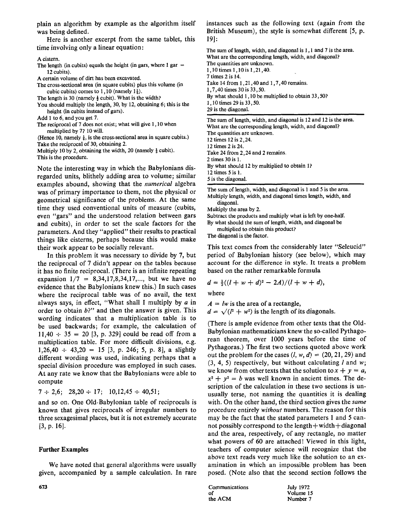plain an algorithm by example as the algorithm itself was being defined.

Here is another excerpt from the same tablet, this time involving only a linear equation:

#### A cistern.

The length (in cubits) equals the height (in gars, where  $1 \text{ gar} =$ 12 cubits).

A certain volume of dirt has been excavated.

- The cross-sectional area (in square cubits) plus this volume (in cubic cubits) comes to 1,10 (namely  $1\frac{1}{6}$ ).
- The length is 30 (namely  $\frac{1}{2}$  cubit). What is the width?
- You should multiply the length, 30, by 12, obtaining 6; this is the height (in cubits instead of gars).

Add 1 to 6, and you get 7.

The reciprocal of 7 does not exist; what will give 1,10 when multiplied by 7? 10 will.

(Hence 10, namely  $\frac{1}{6}$ , is the cross-sectional area in square cubits.) Take the reciprocal of 30, obtaining 2.

Multiply 10 by 2, obtaining the width, 20 (namely  $\frac{1}{3}$  cubit). This is the procedure.

Note the interesting way in which the Babylonians disregarded units, blithely adding area to volume; similar examples abound, showing that the *numerical* algebra was of primary importance to them, not the physical or geometrical significance of the problems. At the same time they used conventional units of measure (cubits, even "gars" and the understood relation between gars and cubits), in order to set the scale factors for the parameters. And they "applied" their results to practical things like cisterns, perhaps because this would make their work appear to be socially relevant.

In this problem it was necessary to divide by 7, but the reciprocal of 7 didn't appear on the tables because it has no finite reciprocal. (There is an infinite repeating expansion  $1/7 = 8,34,17,8,34,17,...$ , but we have no evidence that the Babylonians knew this.) In such cases where the reciprocal table was of no avail, the text always says, in effect, "What shall I multiply by a in order to obtain  $b$ ?" and then the answer is given. This wording indicates that a multiplication table is to be used backwards; for example, the calculation of  $11,40 \div 35 = 20$  [3, p. 329] could be read off from a multiplication table. For more difficult divisions, e.g.  $1,26,40 \div 43,20 = 15$  [3, p. 246; 5, p. 8], a slightly different wording was used, indicating perhaps that a special division procedure was employed in such cases. At any rate we know that the Babylonians were able to compute

 $7 \div 2,6; 28,20 \div 17; 10,12,45 \div 40,51;$ 

and so on. One Old-Babylonian table of reciprocals is known that gives reciprocals of irregular numbers to three sexagesimal places, but it is not extremely accurate [3, p. 16].

## **Further Examples**

We have noted that general algorithms were usually given, accompanied by a sample calculation. In rare instances such as the following text (again from the British Museum), the style is somewhat different [5, p. 19]:

The sum of length, width, and diagonal is 1,1 and 7 is the area. What are the corresponding length, width, and diagonal? The quantities are unknown. 1,10 times 1,10is 1,21,40. 7 times 2 is 14. Take 14 from 1,21,40 and 1,7,40 remains. 1,7,40 times 30 is 33,50. By what should 1,10 be multiplied to obtain 33,50? 1,10 times 29 is 33,50. 29 is the diagonal.

The sum of length, width, and diagonal is 12 and 12 is the area. What are the corresponding length, width, and diagonal? The quantities are unknown. 12 times 12 is 2,24. 12 times 2 is 24. Take 24 from 2,24 and 2 remains.

2 times 30 is 1.

By what should 12 by multiplied to obtain 17

12 times 5 is 1.

5 is the diagonal.

The sum of length, width, and diagonal is 1 and 5 is the area. Multiply length, width, and diagonal times length, width, and diagonal.

Multiply the area by 2.

Subtract the products and multiply what is left by one-half. By what should the sum of length, width, and diagonal be

multiplied to obtain this product?

The diagonal is the factor.

This text comes from the considerably later "Seleucid" period of Babylonian history (see below), which may account for the difference in style. It treats a problem based on the rather remarkable formula

$$
d = \frac{1}{2}((l + w + d)^2 - 2A)/(l + w + d),
$$

where

 $A = lw$  is the area of a rectangle,  $d = \sqrt{(l^2 + w^2)}$  is the length of its diagonals.

(There is ample evidence from other texts that the Old-Babylonian mathematicians knew the so-called Pythagorean theorem, over I000 years before the time of Pythagoras.) The first two sections quoted above work out the problem for the cases  $(l, w, d) = (20, 21, 29)$  and  $(3, 4, 5)$  respectively, but without calculating l and w; we know from other texts that the solution to  $x + y = a$ ,  $x^2 + y^2 = b$  was well known in ancient times. The description of the calculation in these two sections is unusually terse, not naming the quantities it is dealing with. On the other hand, the third section gives the *same*  procedure entirely *without* numbers. The reason for this may be the fact that the stated parameters 1 and 5 cannot possibly correspond to the length+width+diagonal and the area, respectively, of any rectangle, no matter what powers of 60 are attached! Viewed in this light, teachers of computer science will recognize that the above text reads very much like the solution to an examination in which an impossible problem has been posed. (Note also that the second section follows the

**673** Communications July 1972 of Volume 15<br>the ACM Number 7

Number 7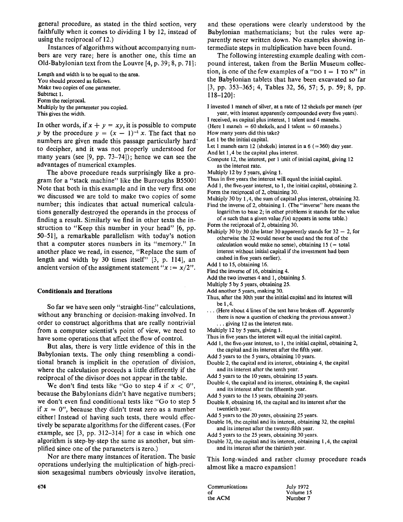general procedure, as stated in the third section, very faithfully when it comes to dividing 1 by 12, instead of using the reciprocal of 12.)

Instances of algorithms without accompanying numbers are very rare; here is another one, this time an Old-Babylonian text from the Louvre [4, p. 39; 8, p. 71]:

Length and width is to be equal to the area. You should proceed as follows. Make two copies of one parameter. Subtract 1. Form the reciprocal. Multiply by the parameter you copied. This gives the width,

In other words, if  $x + y = xy$ , it is possible to compute y by the procedure  $y = (x - 1)^{-1} x$ . The fact that no numbers are given made this passage particularly hard to decipher, and it was not properly understood for many years (see [9, pp. 73-74]); hence we can see the advantages of numerical examples.

The above procedure reads surprisingly like a program for a "stack machine" like the Burroughs B5500! Note that both in this example and in the very first one we discussed we are told to make two copies of some number; this indicates that actual numerical calculations generally destroyed the operands in the process of finding a result. Similarly we find in other texts the instruction to "Keep this number in your head" [6, pp. 50-51], a remarkable parallelism with today's notion that a computer stores numbers in its "memory." In another place we read, in essence, "Replace the sum of length and width by 30 times itself" [3, p. 114], an ancient version of the assignment statement " $x := x/2$ ".

#### **Conditionals and Iterations**

So far we have seen only "straight-line" calculations, without any branching or decision-making involved. In order to construct algorithms that are really nontrivial from a computer scientist's point of view, we need to have some operations that affect the flow of control.

But alas, there is very little evidence of this in the Babylonian texts. The only thing resembling a conditional branch is implicit in the operation of division, where the calculation proceeds a little differently if the reciprocal of the divisor does not appear in the table.

We don't find tests like "Go to step 4 if  $x < 0$ ", because the Babylonians didn't have negative numbers; we don't even find conditional tests like "Go to step 5 if  $x = 0$ ", because they didn't treat zero as a number either! Instead of having such tests, there would effectively be separate algorithms for the different cases. (For example, see [3, pp. 312-314] for a case in which one algorithm is step-by-step the same as another, but simplified since one of the parameters is zero.)

Nor are there many instances of iteration. The basic operations underlying the multiplication of high-precision sexagesimal numbers obviously involve iteration, and these operations were clearly understood by the Babylonian mathematicians; but the rules were apparently never written down. No examples showing intermediate steps in multiplication have been found.

The following interesting example dealing with compound interest, taken from the Berlin Museum collection, is one of the few examples of a "po  $I = 1$  TO N" in the Babylonian tablets that have been excavated so far [3, pp. 353-365; 4, Tables 32, 56, 57; 5, p. 59; 8, pp. 118-120]:

I invested 1 maneh of silver, at a rate of 12 shekels per maneh (per year, with interest apparently compounded every five years).

I received, as capital plus interest, 1 talent and 4 manehs.

(Here 1 maneh =  $60$  shekels, and 1 talent =  $60$  manehs.)

How many years did this take?

Let 1 be the initial capital.

Let 1 maneh earn 12 (shekels) interest in a  $6 (=360)$  day year.

- And let 1,4 be the capital plus interest.
- Compute 12, the interest, per 1 unit of initial capital, giving 12 as the interest rate.
- Multiply 12 by 5 years, giving 1.

Thus in five years the interest will equal the initial capital.

Add 1, the five-year interest, to 1, the initial capital, obtaining 2. Form the reciprocal of 2, obtaining 30.

Multiply 30 by 1,4, the sum of capital plus interest, obtaining 32.

Find the inverse of 2, obtaining 1. (The "inverse" here means the logarithm to base 2; in other problems it stands for the value of *n* such that a given value  $f(n)$  appears in some table.)

Form the reciprocal of 2, obtaining 30.

Multiply 30 by 30 (the latter 30 apparently stands for  $32 - 2$ , for otherwise the 32 would never be used and the rest of the calculation would make no sense), obtaining  $15$  (= total interest without initial capital if the investment had been cashed in five years earlier).

Add 1 to 15, obtaining 16.

- Find the inverse of 16, obtaining 4.
- Add the two inverses 4 and 1, obtaining 5.
- Multiply 5 by 5 years, obtaining 25.
- Add another 5 years, making 30.
- Thus, after the 30th year the initial capital and its interest will be 1,4.
- ... (Here about 4 lines of the text have broken off. Apparently there is now a question of checking the previous answer.) **•..** giving 12 as the interest rate.
- Multiply 12 by 5 years, giving 1.
- Thus in five years the interest will equal the initial capital.
- Add 1, the five-year interest, to 1, the initial capital, obtaining 2, the capital and its interest after the fifth year.
- Add 5 years to the 5 years, obtaining 10 years.

Double 2, the capital and its interest, obtaining 4, the capital and its interest after the tenth year.

Add 5 years to the 10 years, obtaining 15 years.

Double 4, the capital and its interest, obtaining 8, the capital and its interest after the fifteenth year.

- Add 5 years to the 15 years, obtaining 20 years.
- Double 8, obtaining 16, the capital and its interest after the twentieth year.
- Add 5 years to the 20 years, obtaining 25 years.
- Double 16, the capital and its interest, obtaining 32, the capital and its interest after the twenty-fifth year.

Add 5 years to the 25 years, obtaining 30 years.

Double 32, the capital and its interest, obtaining I, 4, the capital and its interest after the thirtieth year.

This long-winded and rather clumsy procedure reads almost like a macro expansion !

| 674 | Communications | July 1972 |
|-----|----------------|-----------|
|     | ОI             | Volume 15 |
|     | the ACM        | Number 7  |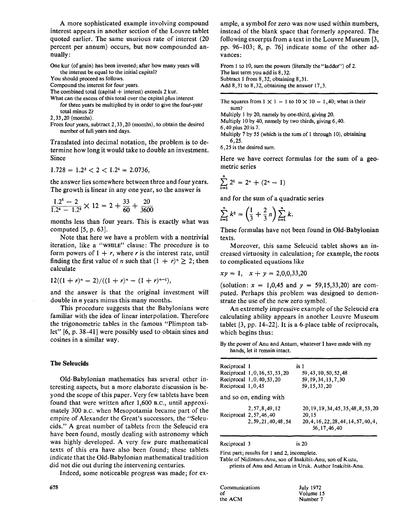A more sophisticated example involving compound interest appears in another section of the Louvre tablet quoted earlier. The same usurious rate of interest (20 percent per annum) occurs, but now compounded annually:

One kur (of grain) has been invested; after how many years will the interest be equal to the initial capital?

You should proceed as follows.

Compound the interest for four years.

The combined total (capital  $+$  interest) exceeds 2 kur.

What can the excess of this total over the capital plus interest for three years be multiplied by in order to give the four-year total minus 2?

2,33,20 (months).

From four years, subtract 2,33,20 (months), to obtain the desired number of full years and days.

Translated into decimal notation, the problem is to determine how long it would take to double an investment. Since

 $1.728 = 1.2<sup>3</sup> < 2 < 1.2<sup>4</sup> = 2.0736$ ,

the answer lies somewhere between three and four years. The growth is linear in any one year, so the answer is

$$
\frac{1.2^4 - 2}{1.2^4 - 1.2^3} \times 12 = 2 + \frac{33}{60} + \frac{20}{3600}
$$

months less than four years. This is exactly what was computed  $[5, p. 63]$ .

Note that here we have a problem with a nontrivial iteration, like a "WHILE" clause: The procedure is to form powers of  $1 + r$ , where r is the interest rate, until finding the first value of *n* such that  $(1 + r)^n \geq 2$ ; then calculate

$$
12((1 + r)n - 2)/((1 + r)n - (1 + r)n-1),
$$

and the answer is that the original investment will double in *n* years minus this many months.

This procedure suggests that the Babylonians were familiar with the idea of linear interpolation. Therefore the trigonometric tables in the famous "Plimpton tablet" [6, p. 38-41] were possibly used to obtain sines and cosines in a similar way.

### **The Seleueids**

Old-Babylonian mathematics has several other interesting aspects, but a more elaborate discussion is beyond the scope of this paper. Very few tablets have been found that were written after 1,600 B.c., until approximately 300 B.c. when Mesopotamia became part of the empire of Alexander the Great's successors, the "Seleucids." A great number of tablets from the Seleucid era have been found, mostly dealing with astronomy which was highly developed. A very few pure mathematical texts of this era have also been found; these tablets indicate that the Old-Babylonian mathematical tradition did not die out during the intervening centuries.

Indeed, some noticeable progress was made; for ex-

ample, a symbol for zero was now used within numbers, instead of the blank space that formerly appeared. The following excerpts from a text in the Louvre Museum [3, pp. 96-103; 8, p. 76] indicate some of the other advances:

From 1 to 10, sum the powers (literally the *"ladder")* of 2. The last term you add is 8,32. Subtract 1 from 8,32, obtaining 8,31. Add 8,31 to 8,32, obtaining the answer 17,3.

The squares from  $1 \times 1 = 1$  to  $10 \times 10 = 1,40$ ; what is their sum?

Multiply 1 by 20, namely by one-third, giving 20.

Multiply 10 by 40, namely by two thirds, giving 6,40. 6,40 plus 20 is 7.

Multiply 7 by 55 (which is the sum of 1 through 10), obtaining 6,25.

6,25 is the desired sum.

Here we have correct formulas for the sum of a geometric series

$$
\sum_{k=1}^n 2^k = 2^n + (2^n - 1)
$$

and for the sum of a quadratic series

$$
\sum_{k=1}^n k^2 = \left(\frac{1}{3} + \frac{2}{3}n\right) \sum_{k=1}^n k.
$$

These formulas have not been found in Old-Babylonian texts.

Moreover, this same Seleucid tablet shows an increased virtuosity in calculation; for example, the roots to complicated equations like

$$
xy = 1, \quad x + y = 2,0,0,33,20
$$

(solution:  $x = 1,0,45$  and  $y = 59,15,33,20$ ) are computed. Perhaps this problem was designed to demonstrate the use of the new zero symbol.

An extremely impressive example of the Seleucid era calculating ability appears in another Louvre Museum tablet [3, pp. 14-22]. It is a 6-place table of reciprocals, which begins thus:

By the power of Anu and Antum, whatever I have made with my hands, let it remain intact.

| Reciprocal 1      |                                              | is 1                                                    |
|-------------------|----------------------------------------------|---------------------------------------------------------|
|                   | Reciprocal 1, 0, 16, 53, 53, 20              | 59, 43, 10, 50, 52, 48                                  |
|                   | Reciprocal 1, 0, 40, 53, 20                  | 59, 19, 34, 13, 7, 30                                   |
| Reciprocal 1,0,45 |                                              | 59, 15, 33, 20                                          |
|                   | and so on, ending with                       |                                                         |
|                   | 2, 57, 8, 49, 12<br>Reciprocal 2, 57, 46, 40 | 20, 19, 19, 34, 45, 35, 48, 8, 53, 20<br>20,15          |
|                   | 2, 59, 21, 40, 48, 54                        | 20, 4, 16, 22, 28, 44, 14, 57, 40, 4,<br>56, 17, 46, 40 |

Reciprocal 3 is 20

First part; results for 1 and 2, incomplete.

Table of Nidintum-Anu, son of Inakibit-Anu, son of Kuzu, priests of Anu and Antum in Uruk. Author Inakibit-Anu.

**675** Communications July 1972 of Volume 15<br>the ACM Number 7

Number 7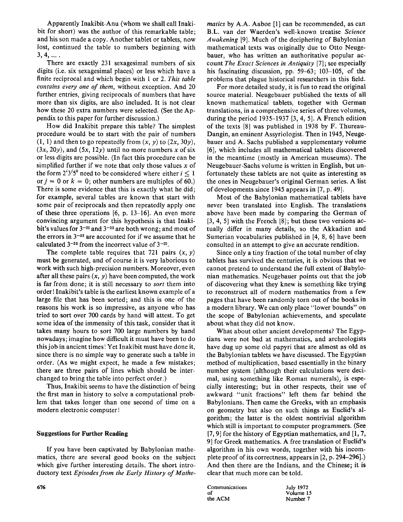Apparently Inakibit-Anu (whom we shall call Inakibit for short) was the author of this remarkable table; and his son made a copy. Another tablet or tablets, now lost, continued the table to numbers beginning with  $3, 4, \ldots$ 

There are exactly 231 sexagesimal numbers of six digits (i.e. six sexagesimal places) or less which have a finite reciprocal and which begin with 1 or 2. *This table contains every one of them,* without exception. And 20 further entries, giving reciprocals of numbers that have more than six digits, are also included. It is not clear how these 20 extra numbers were selected. (See the Appendix to this paper for further discussion.)

How did Inakibit prepare this table? The simplest procedure would be to start with the pair of numbers  $(1, 1)$  and then to go repeatedly from  $(x, y)$  to  $(2x, 30y)$ ,  $(3x, 20y)$ , and  $(5x, 12y)$  until no more numbers x of six or less digits are possible. (In fact this procedure can be simplified further if we note that only those values  $x$  of the form  $2^{i}3^{j}5^{k}$  need to be considered where either  $i \leq 1$ or  $j = 0$  or  $k = 0$ ; other numbers are multiples of 60.) There is some evidence that this is exactly what he did; for example, several tables are known that start with some pair of reciprocals and then repeatedly apply one of these three operations [6, p. 13-16]. An even more convincing argument for this hypothesis is that Inakibit's values for  $3^{-22}$  and  $3^{-23}$  are both wrong; and most of the errors in  $3<sup>-23</sup>$  are accounted for if we assume that he calculated  $3<sup>-23</sup>$  from the incorrect value of  $3<sup>-22</sup>$ .

The complete table requires that 721 pairs  $(x, y)$ must be generated, and of course it is very laborious to work with such high-precision numbers. Moreover, even after all these pairs  $(x, y)$  have been computed, the work is far from done; it is still necessary to *sort* them into order ! Inakibit's table is the earliest known example of a large file that has been sorted; and this is one of the reasons his work is so impressive, as anyone who has tried to sort over 700 cards by hand will attest. To get some idea of the immensity of this task, consider that it takes many hours to sort 700 large numbers by hand nowadays; imagine how difficult it must have been to do this job in ancient times! Yet Inakibit must have done it, since there is no simple way to generate such a table in order. (As we might expect, he made a few mistakes; there are three pairs of lines which should be interchanged to bring the table into perfect order.)

Thus, Inakibit seems to have the distinction of being the first man in history to solve a computational problem that takes longer than one second of time on a modern electronic computer !

## **Suggestions for Further Reading**

If you have been captivated by Babylonian mathematics, there are several good books on the subject which give further interesting details. The short introductory text *Episodes from the Early History of Mathe-*

*matics* by A.A. Aaboe [1] can be recommended, as can B.L. van der Waerden's well-known treatise *Science Awakening* [9]. Much of the deciphering of Babylonian mathematical texts was originally due to Otto Neugebauer, who has written an authoritative popular account *The Exact Sciences in Antiquity* [7]; see especially his fascinating discussion, pp. 59-63; 103-105, of the problems that plague historical researchers in this field.

For more detailed study, it is fun to read the original source material. Neugebauer published the texts of all known mathematical tablets, together with German translations, in a comprehensive series of three volumes, during the period 1935-1937 [3, 4, 5]. A French edition of the texts [8] was published in 1938 by F. Thureau-Dangin, an eminent Assyriologist. Then in 1945, Neugebauer and A. Sachs published a supplementary volume [6], which includes all mathematical tablets discovered in the meantime (mostly in American museums). The Neugebauer-Sachs volume is written in English, but unfortunately these tablets are not quite as interesting as the ones in Neugebauer's original German series. A list of developments since 1945 appears in [7, p. 49].

Most of the Babylonian mathematical tablets have never been translated into English. The translations above have been made by comparing the German of [3, 4, 5] with the French [8]; but these two versions actually differ in many details, so the Akkadian and Sumerian vocabularies published in [4, 8, 6] have been consulted in an attempt to give an accurate rendition.

Since only a tiny fraction of the total number of clay tablets has survived the centuries, it is obvious that we cannot pretend to understand the full extent of Babylonian mathematics. Neugebauer points out that the job of discovering what they knew is something like trying to reconstruct all of modern mathematics from a few pages that have been randomly torn out of the books in a modern library. We can only place "lower bounds" on the scope of Babylonian achievements, and speculate about what they did not know.

What about other ancient developments? The Egyptians were not bad at mathematics, and archeologists have dug up some old papyri that are almost as old as the Babylonian tablets we have discussed. The Egyptian method of multiplication, based essentially in the binary number system (although their calculations were decimal, using something like Roman numerals), is especially interesting; but in other respects, their use of awkward "unit fractions" left them far behind the Babylonians. Then came the Greeks, with an emphasis on geometry but also on such things as Euclid's algorithm; the latter is the oldest nontrivial algorithm which still is important to computer programmers. (See [7, 9] for the history of Egyptian mathematics, and [1, 7, 9] for Greek mathematics. A free translation of Euclid's algorithm in his own words, together with his incomplete proof of its correctness, appears in [2, p. 294-296].) And then there are the Indians, and the Chinese; it is clear that much more can be told.

**676** Communications July 1972 of Volume 15<br>the ACM Number 7

**Number 7**